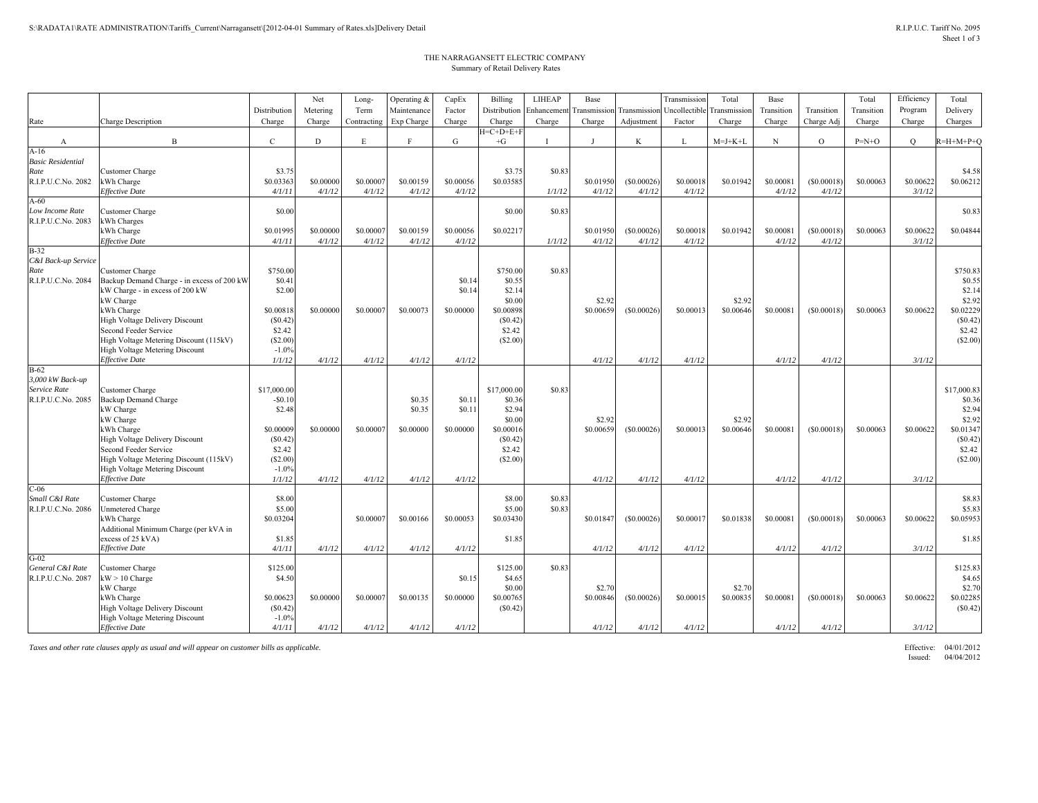## THE NARRAGANSETT ELECTRIC COMPANY Summary of Retail Delivery Rates

|                                       |                                                            |              | Net       | Long-       | Operating & | CapEx     | Billing      | <b>LIHEAP</b> | Base         |            | Transmissio                             | Total     | Base       |            | Total      | Efficiency | Total       |
|---------------------------------------|------------------------------------------------------------|--------------|-----------|-------------|-------------|-----------|--------------|---------------|--------------|------------|-----------------------------------------|-----------|------------|------------|------------|------------|-------------|
|                                       |                                                            | Distribution | Metering  | Term        | Maintenance | Factor    | Distribution | Enhancement   | Transmission |            | Transmission Uncollectible Transmission |           | Transition | Transition | Transition | Program    | Delivery    |
| Rate                                  | <b>Charge Description</b>                                  | Charge       | Charge    | Contracting | Exp Charge  | Charge    | Charge       | Charge        | Charge       | Adjustment | Factor                                  | Charge    | Charge     | Charge Adj | Charge     | Charge     | Charges     |
|                                       |                                                            |              |           |             |             |           | $H=C+D+E+F$  |               |              |            |                                         |           |            |            |            |            |             |
| A                                     | $\overline{B}$                                             | $\mathbf{C}$ | D         | E           | F           | G         | $+G$         |               | $\mathbf{I}$ | K          | L                                       | $M=J+K+L$ | $_{\rm N}$ | $\circ$    | $P=N+O$    | $\circ$    | $R=H+M+P+O$ |
| $A-16$                                |                                                            |              |           |             |             |           |              |               |              |            |                                         |           |            |            |            |            |             |
| <b>Basic Residential</b>              |                                                            |              |           |             |             |           |              |               |              |            |                                         |           |            |            |            |            |             |
| Rate                                  | Customer Charge                                            | \$3.75       |           |             |             |           | \$3.75       | \$0.83        |              |            |                                         |           |            |            |            |            | \$4.58      |
| R.I.P.U.C.No. 2082                    | kWh Charge                                                 | \$0.03363    | \$0.00000 | \$0,00007   | \$0.00159   | \$0.00056 | \$0.03585    |               | \$0.01950    | (S0.00026) | \$0.00018                               | \$0.01942 | \$0.00081  | (S0.00018) | \$0.00063  | \$0.00622  | \$0.06212   |
|                                       | Effective Date                                             | 4/1/11       | 4/1/12    | 4/1/12      | 4/1/12      | 4/1/12    |              | 1/1/12        | 4/1/12       | 4/1/12     | 4/1/12                                  |           | 4/1/12     | 4/1/12     |            | 3/1/12     |             |
| $A-60$                                |                                                            |              |           |             |             |           |              |               |              |            |                                         |           |            |            |            |            |             |
| Low Income Rate<br>R.I.P.U.C.No. 2083 | <b>Customer Charge</b>                                     | \$0.00       |           |             |             |           | \$0.00       | \$0.83        |              |            |                                         |           |            |            |            |            | \$0.83      |
|                                       | kWh Charges<br>kWh Charge                                  | \$0.01995    | \$0.00000 | \$0,0000    | \$0.00159   | \$0.00056 | \$0.02217    |               | \$0.01950    | (S0.00026) | \$0.00018                               | \$0.01942 | \$0.00081  | (S0.00018) | \$0.00063  | \$0,00622  | \$0.04844   |
|                                       | Effective Date                                             | 4/1/11       | 4/1/12    | 4/1/12      | 4/1/12      | 4/1/12    |              | 1/1/12        | 4/1/12       | 4/1/12     | 4/1/12                                  |           | 4/1/12     | 4/1/12     |            | 3/1/12     |             |
| $B-32$                                |                                                            |              |           |             |             |           |              |               |              |            |                                         |           |            |            |            |            |             |
| C&I Back-up Service                   |                                                            |              |           |             |             |           |              |               |              |            |                                         |           |            |            |            |            |             |
| Rate                                  | Customer Charge                                            | \$750.00     |           |             |             |           | \$750.00     | \$0.83        |              |            |                                         |           |            |            |            |            | \$750.83    |
| R.I.P.U.C.No. 2084                    | Backup Demand Charge - in excess of 200 kW                 | \$0.41       |           |             |             | \$0.14    | \$0.55       |               |              |            |                                         |           |            |            |            |            | \$0.55      |
|                                       | kW Charge - in excess of 200 kW                            | \$2.00       |           |             |             | \$0.14    | \$2.14       |               |              |            |                                         |           |            |            |            |            | \$2.14      |
|                                       | kW Charge                                                  |              |           |             |             |           | \$0.00       |               | \$2.92       |            |                                         | \$2.92    |            |            |            |            | \$2.92      |
|                                       | kWh Charge                                                 | \$0.00818    | \$0.00000 | \$0,0000    | \$0,00073   | \$0.00000 | \$0.00898    |               | \$0.00659    | (S0.00026) | \$0.00013                               | \$0.00646 | \$0.00081  | (S0.00018) | \$0,00063  | \$0,00622  | \$0.02229   |
|                                       | High Voltage Delivery Discount                             | (S0.42)      |           |             |             |           | (\$0.42)     |               |              |            |                                         |           |            |            |            |            | (S0.42)     |
|                                       | Second Feeder Service                                      | \$2.42       |           |             |             |           | \$2.42       |               |              |            |                                         |           |            |            |            |            | \$2.42      |
|                                       | High Voltage Metering Discount (115kV)                     | (S2.00)      |           |             |             |           | (S2.00)      |               |              |            |                                         |           |            |            |            |            | (S2.00)     |
|                                       | <b>High Voltage Metering Discount</b>                      | $-1.0%$      |           |             |             |           |              |               |              |            |                                         |           |            |            |            |            |             |
|                                       | Effective Date                                             | 1/1/12       | 4/1/12    | 4/1/12      | 4/1/12      | 4/1/12    |              |               | 4/1/12       | 4/1/12     | 4/1/12                                  |           | 4/1/12     | 4/1/12     |            | 3/1/12     |             |
| $B-62$                                |                                                            |              |           |             |             |           |              |               |              |            |                                         |           |            |            |            |            |             |
| 3,000 kW Back-up<br>Service Rate      | Customer Charge                                            | \$17,000.00  |           |             |             |           | \$17,000.00  | \$0.83        |              |            |                                         |           |            |            |            |            | \$17,000.83 |
| R.I.P.U.C.No. 2085                    | <b>Backup Demand Charge</b>                                | $-$0.10$     |           |             | \$0.35      | \$0.11    | \$0.36       |               |              |            |                                         |           |            |            |            |            | \$0.36      |
|                                       | kW Charge                                                  | \$2.48       |           |             | \$0.35      | \$0.11    | \$2.94       |               |              |            |                                         |           |            |            |            |            | \$2.94      |
|                                       | kW Charge                                                  |              |           |             |             |           | \$0.00       |               | \$2.92       |            |                                         | \$2.92    |            |            |            |            | \$2.92      |
|                                       | kWh Charge                                                 | \$0.00009    | \$0.00000 | \$0,0000    | \$0,00000   | \$0,00000 | \$0.00016    |               | \$0,00659    | (S0.00026) | \$0.00013                               | \$0.00646 | \$0.00081  | (S0.00018) | \$0.00063  | \$0.00622  | \$0.01347   |
|                                       | High Voltage Delivery Discount                             | (S0.42)      |           |             |             |           | (S0.42)      |               |              |            |                                         |           |            |            |            |            | (S0.42)     |
|                                       | Second Feeder Service                                      | \$2.42       |           |             |             |           | \$2.42       |               |              |            |                                         |           |            |            |            |            | \$2.42      |
|                                       | High Voltage Metering Discount (115kV)                     | (S2.00)      |           |             |             |           | (S2.00)      |               |              |            |                                         |           |            |            |            |            | (S2.00)     |
|                                       | <b>High Voltage Metering Discount</b>                      | $-1.0%$      |           |             |             |           |              |               |              |            |                                         |           |            |            |            |            |             |
|                                       | Effective Date                                             | 1/1/12       | 4/1/12    | 4/1/12      | 4/1/12      | 4/1/12    |              |               | 4/1/12       | 4/1/12     | 4/1/12                                  |           | 4/1/12     | 4/1/12     |            | 3/1/12     |             |
| $C-06$                                |                                                            |              |           |             |             |           |              |               |              |            |                                         |           |            |            |            |            |             |
| Small C&I Rate                        | Customer Charge                                            | \$8.00       |           |             |             |           | \$8.00       | \$0.83        |              |            |                                         |           |            |            |            |            | \$8.83      |
| R.I.P.U.C.No. 2086                    | <b>Unmetered Charge</b>                                    | \$5.00       |           |             |             |           | \$5.00       | \$0.83        |              |            |                                         |           |            |            |            |            | \$5.83      |
|                                       | kWh Charge                                                 | \$0.03204    |           | \$0,00007   | \$0.00166   | \$0.00053 | \$0.03430    |               | \$0.01847    | (S0.00026) | \$0.00017                               | \$0.01838 | \$0.00081  | (S0.00018) | \$0.00063  | \$0.00622  | \$0.05953   |
|                                       | Additional Minimum Charge (per kVA in<br>excess of 25 kVA) | \$1.85       |           |             |             |           | \$1.85       |               |              |            |                                         |           |            |            |            |            | \$1.85      |
|                                       | Effective Date                                             | 4/1/11       | 4/1/12    | 4/1/12      | 4/1/12      | 4/1/12    |              |               | 4/1/12       | 4/1/12     | 4/1/12                                  |           | 4/1/12     | 4/1/12     |            | 3/1/12     |             |
| $G-02$                                |                                                            |              |           |             |             |           |              |               |              |            |                                         |           |            |            |            |            |             |
| General C&I Rate                      | <b>Customer Charge</b>                                     | \$125.00     |           |             |             |           | \$125.00     | \$0.83        |              |            |                                         |           |            |            |            |            | \$125.83    |
| R.I.P.U.C.No. 2087                    | $kW > 10$ Charge                                           | \$4.50       |           |             |             | \$0.15    | \$4.65       |               |              |            |                                         |           |            |            |            |            | \$4.65      |
|                                       | kW Charge                                                  |              |           |             |             |           | \$0.00       |               | \$2.70       |            |                                         | \$2.70    |            |            |            |            | \$2.70      |
|                                       | kWh Charge                                                 | \$0.00623    | \$0.00000 | \$0,00007   | \$0.00135   | \$0.00000 | \$0.00765    |               | \$0,00846    | (S0.00026) | \$0.00015                               | \$0.00835 | \$0.00081  | (S0.00018) | \$0.00063  | \$0.00622  | \$0.02285   |
|                                       | High Voltage Delivery Discount                             | (S0.42)      |           |             |             |           | (S0.42)      |               |              |            |                                         |           |            |            |            |            | (S0.42)     |
|                                       | High Voltage Metering Discount                             | $-1.0%$      |           |             |             |           |              |               |              |            |                                         |           |            |            |            |            |             |
|                                       | <b>Effective Date</b>                                      | 4/1/11       | 4/1/12    | 4/1/12      | 4/1/12      | 4/1/12    |              |               | 4/1/12       | 4/1/12     | 4/1/12                                  |           | 4/1/12     | 4/1/12     |            | 3/1/12     |             |

*Taxes and other rate clauses apply as usual and will appear on customer bills as applicable.* Effective: 04/01/2012

Issued: 04/04/2012